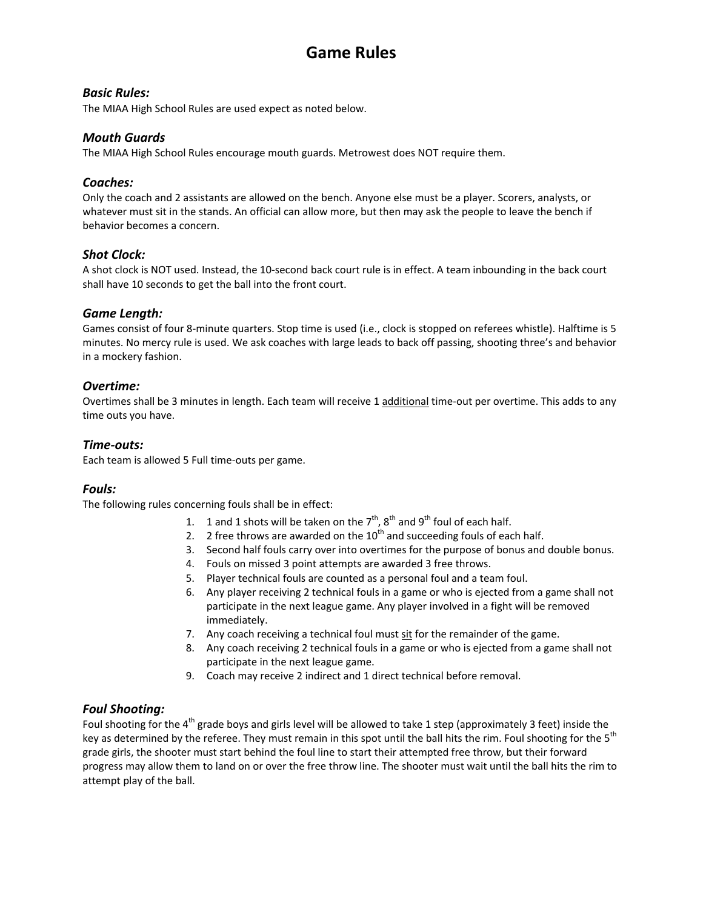# **Game Rules**

#### *Basic Rules:*

The MIAA High School Rules are used expect as noted below.

#### *Mouth Guards*

The MIAA High School Rules encourage mouth guards. Metrowest does NOT require them.

#### *Coaches:*

Only the coach and 2 assistants are allowed on the bench. Anyone else must be a player. Scorers, analysts, or whatever must sit in the stands. An official can allow more, but then may ask the people to leave the bench if behavior becomes a concern.

#### *Shot Clock:*

A shot clock is NOT used. Instead, the 10-second back court rule is in effect. A team inbounding in the back court shall have 10 seconds to get the ball into the front court.

#### *Game Length:*

Games consist of four 8-minute quarters. Stop time is used (i.e., clock is stopped on referees whistle). Halftime is 5 minutes. No mercy rule is used. We ask coaches with large leads to back off passing, shooting three's and behavior in a mockery fashion.

#### *Overtime:*

Overtimes shall be 3 minutes in length. Each team will receive 1 additional time-out per overtime. This adds to any time outs you have.

#### *Time-outs:*

Each team is allowed 5 Full time-outs per game.

## *Fouls:*

The following rules concerning fouls shall be in effect:

- 1. 1 and 1 shots will be taken on the  $7<sup>th</sup>$ ,  $8<sup>th</sup>$  and  $9<sup>th</sup>$  foul of each half.
- 2. 2 free throws are awarded on the  $10^{th}$  and succeeding fouls of each half.
- 3. Second half fouls carry over into overtimes for the purpose of bonus and double bonus.
- 4. Fouls on missed 3 point attempts are awarded 3 free throws.
- 5. Player technical fouls are counted as a personal foul and a team foul.
- 6. Any player receiving 2 technical fouls in a game or who is ejected from a game shall not participate in the next league game. Any player involved in a fight will be removed immediately.
- 7. Any coach receiving a technical foul must sit for the remainder of the game.
- 8. Any coach receiving 2 technical fouls in a game or who is ejected from a game shall not participate in the next league game.
- 9. Coach may receive 2 indirect and 1 direct technical before removal.

## *Foul Shooting:*

Foul shooting for the  $4<sup>th</sup>$  grade boys and girls level will be allowed to take 1 step (approximately 3 feet) inside the key as determined by the referee. They must remain in this spot until the ball hits the rim. Foul shooting for the 5<sup>th</sup> grade girls, the shooter must start behind the foul line to start their attempted free throw, but their forward progress may allow them to land on or over the free throw line. The shooter must wait until the ball hits the rim to attempt play of the ball.